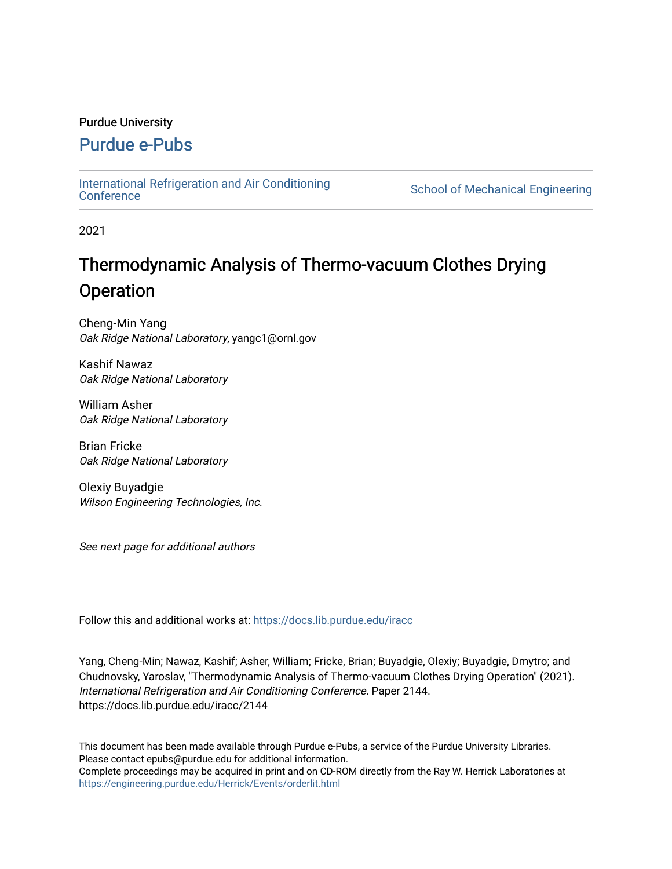## Purdue University

## [Purdue e-Pubs](https://docs.lib.purdue.edu/)

[International Refrigeration and Air Conditioning](https://docs.lib.purdue.edu/iracc) 

School of Mechanical Engineering

2021

# Thermodynamic Analysis of Thermo-vacuum Clothes Drying **Operation**

Cheng-Min Yang Oak Ridge National Laboratory, yangc1@ornl.gov

Kashif Nawaz Oak Ridge National Laboratory

William Asher Oak Ridge National Laboratory

Brian Fricke Oak Ridge National Laboratory

Olexiy Buyadgie Wilson Engineering Technologies, Inc.

See next page for additional authors

Follow this and additional works at: [https://docs.lib.purdue.edu/iracc](https://docs.lib.purdue.edu/iracc?utm_source=docs.lib.purdue.edu%2Firacc%2F2144&utm_medium=PDF&utm_campaign=PDFCoverPages)

Yang, Cheng-Min; Nawaz, Kashif; Asher, William; Fricke, Brian; Buyadgie, Olexiy; Buyadgie, Dmytro; and Chudnovsky, Yaroslav, "Thermodynamic Analysis of Thermo-vacuum Clothes Drying Operation" (2021). International Refrigeration and Air Conditioning Conference. Paper 2144. https://docs.lib.purdue.edu/iracc/2144

This document has been made available through Purdue e-Pubs, a service of the Purdue University Libraries. Please contact epubs@purdue.edu for additional information. Complete proceedings may be acquired in print and on CD-ROM directly from the Ray W. Herrick Laboratories at <https://engineering.purdue.edu/Herrick/Events/orderlit.html>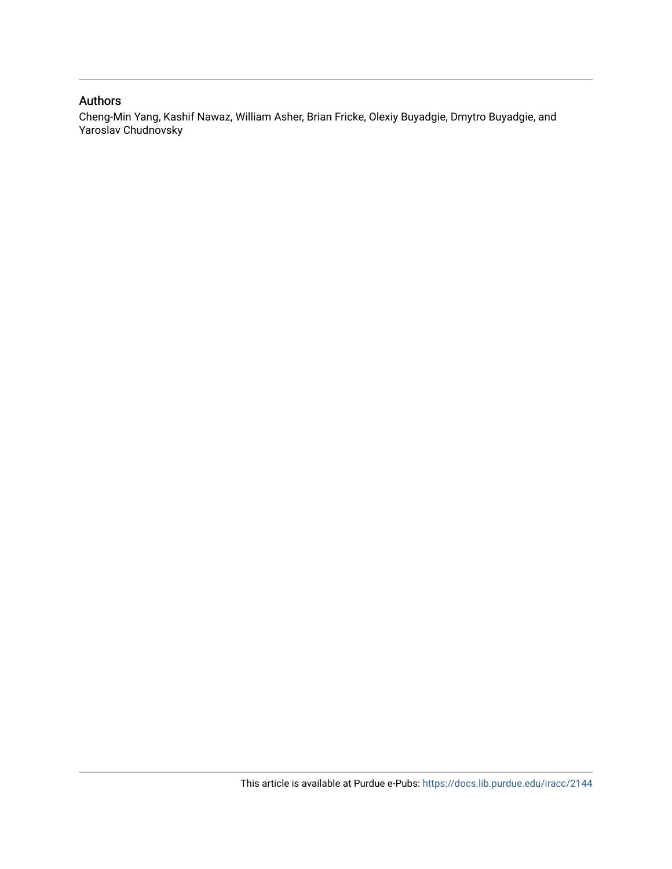## Authors

Cheng-Min Yang, Kashif Nawaz, William Asher, Brian Fricke, Olexiy Buyadgie, Dmytro Buyadgie, and Yaroslav Chudnovsky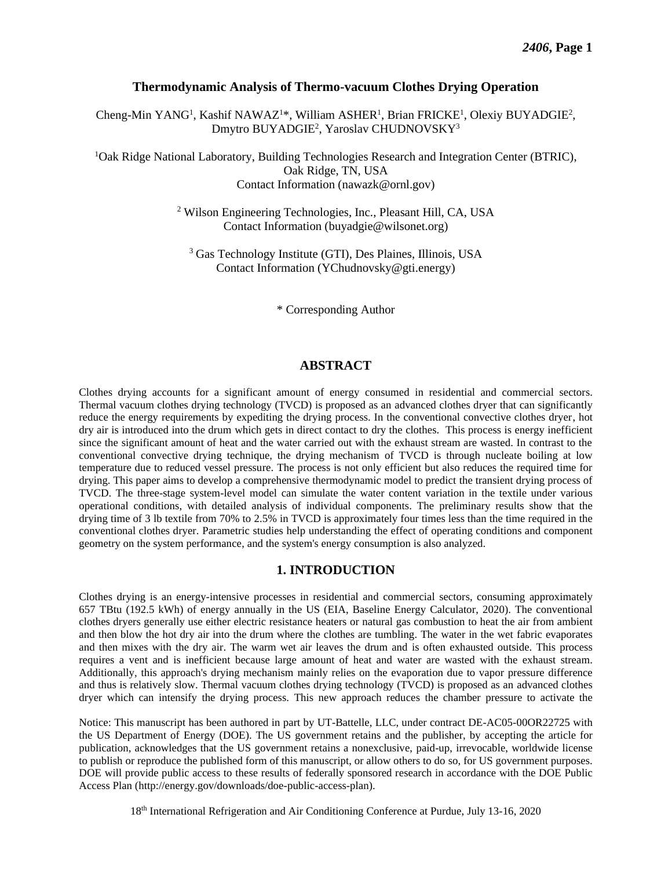## **Thermodynamic Analysis of Thermo-vacuum Clothes Drying Operation**

Cheng-Min YANG<sup>1</sup>, Kashif NAWAZ<sup>1\*</sup>, William ASHER<sup>1</sup>, Brian FRICKE<sup>1</sup>, Olexiy BUYADGIE<sup>2</sup>, Dmytro BUYADGIE<sup>2</sup>, Yaroslav CHUDNOVSKY<sup>3</sup>

<sup>1</sup>Oak Ridge National Laboratory, Building Technologies Research and Integration Center (BTRIC), Oak Ridge, TN, USA Contact Information ([nawazk@ornl.gov\)](mailto:nawazk@ornl.gov)

> 2 Wilson Engineering Technologies, Inc., Pleasant Hill, CA, USA Contact Information ([buyadgie@wilsonet.org\)](mailto:buyadgie@wilsonet.org)

3 Gas Technology Institute (GTI), Des Plaines, Illinois, USA Contact Information [\(YChudnovsky@gti.energy](mailto:YChudnovsky@gti.energy))

\* Corresponding Author

## **ABSTRACT**

 Clothes drying accounts for a significant amount of energy consumed in residential and commercial sectors. Thermal vacuum clothes drying technology (TVCD) is proposed as an advanced clothes dryer that can significantly reduce the energy requirements by expediting the drying process. In the conventional convective clothes dryer, hot dry air is introduced into the drum which gets in direct contact to dry the clothes. This process is energy inefficient since the significant amount of heat and the water carried out with the exhaust stream are wasted. In contrast to the conventional convective drying technique, the drying mechanism of TVCD is through nucleate boiling at low temperature due to reduced vessel pressure. The process is not only efficient but also reduces the required time for drying. This paper aims to develop a comprehensive thermodynamic model to predict the transient drying process of TVCD. The three-stage system-level model can simulate the water content variation in the textile under various operational conditions, with detailed analysis of individual components. The preliminary results show that the drying time of 3 lb textile from 70% to 2.5% in TVCD is approximately four times less than the time required in the conventional clothes dryer. Parametric studies help understanding the effect of operating conditions and component geometry on the system performance, and the system's energy consumption is also analyzed.

## **1. INTRODUCTION**

 Clothes drying is an energy-intensive processes in residential and commercial sectors, consuming approximately clothes dryers generally use either electric resistance heaters or natural gas combustion to heat the air from ambient and then blow the hot dry air into the drum where the clothes are tumbling. The water in the wet fabric evaporates and then mixes with the dry air. The warm wet air leaves the drum and is often exhausted outside. This process requires a vent and is inefficient because large amount of heat and water are wasted with the exhaust stream. Additionally, this approach's drying mechanism mainly relies on the evaporation due to vapor pressure difference and thus is relatively slow. Thermal vacuum clothes drying technology (TVCD) is proposed as an advanced clothes dryer which can intensify the drying process. This new approach reduces the chamber pressure to activate the 657 TBtu (192.5 kWh) of energy annually in the US (EIA, Baseline Energy Calculator, 2020). The conventional

 Notice: This manuscript has been authored in part by UT-Battelle, LLC, under contract DE-AC05-00OR22725 with the US Department of Energy (DOE). The US government retains and the publisher, by accepting the article for publication, acknowledges that the US government retains a nonexclusive, paid-up, irrevocable, worldwide license to publish or reproduce the published form of this manuscript, or allow others to do so, for US government purposes. DOE will provide public access to these results of federally sponsored research in accordance with the DOE Public Access Plan [\(http://energy.gov/downloads/doe-public-access-plan](http://energy.gov/downloads/doe-public-access-plan)).

18th International Refrigeration and Air Conditioning Conference at Purdue, July 13-16, 2020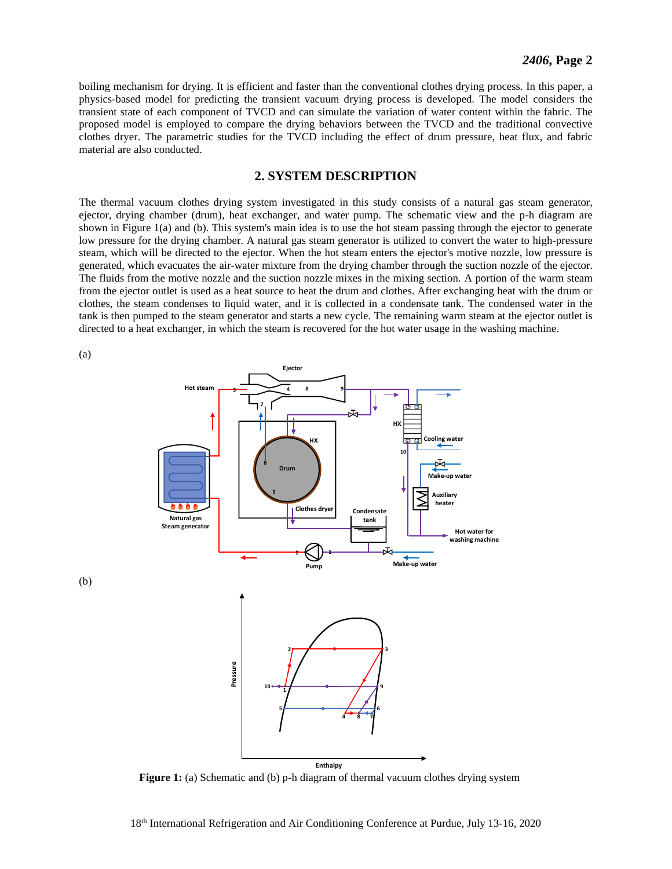boiling mechanism for drying. It is efficient and faster than the conventional clothes drying process. In this paper, a physics-based model for predicting the transient vacuum drying process is developed. The model considers the transient state of each component of TVCD and can simulate the variation of water content within the fabric. The proposed model is employed to compare the drying behaviors between the TVCD and the traditional convective clothes dryer. The parametric studies for the TVCD including the effect of drum pressure, heat flux, and fabric material are also conducted.

## **2. SYSTEM DESCRIPTION**

 The thermal vacuum clothes drying system investigated in this study consists of a natural gas steam generator, ejector, drying chamber (drum), heat exchanger, and water pump. The schematic view and the p-h diagram are shown in Figure 1(a) and (b). This system's main idea is to use the hot steam passing through the ejector to generate low pressure for the drying chamber. A natural gas steam generator is utilized to convert the water to high-pressure steam, which will be directed to the ejector. When the hot steam enters the ejector's motive nozzle, low pressure is generated, which evacuates the air-water mixture from the drying chamber through the suction nozzle of the ejector. The fluids from the motive nozzle and the suction nozzle mixes in the mixing section. A portion of the warm steam from the ejector outlet is used as a heat source to heat the drum and clothes. After exchanging heat with the drum or clothes, the steam condenses to liquid water, and it is collected in a condensate tank. The condensed water in the tank is then pumped to the steam generator and starts a new cycle. The remaining warm steam at the ejector outlet is directed to a heat exchanger, in which the steam is recovered for the hot water usage in the washing machine.

(a)

(b)



Figure 1: (a) Schematic and (b) p-h diagram of thermal vacuum clothes drying system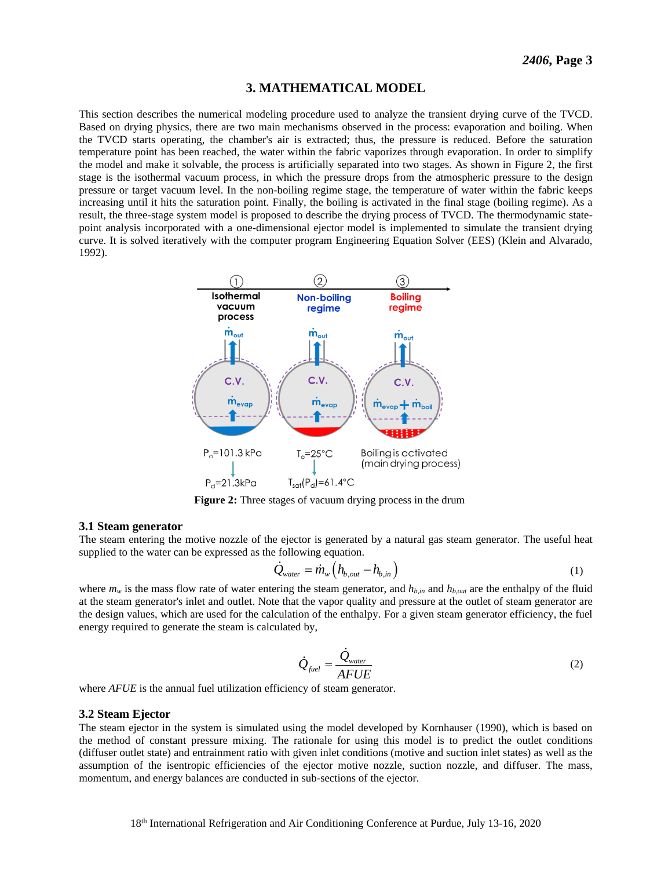#### **3. MATHEMATICAL MODEL**

 This section describes the numerical modeling procedure used to analyze the transient drying curve of the TVCD. Based on drying physics, there are two main mechanisms observed in the process: evaporation and boiling. When the TVCD starts operating, the chamber's air is extracted; thus, the pressure is reduced. Before the saturation temperature point has been reached, the water within the fabric vaporizes through evaporation. In order to simplify the model and make it solvable, the process is artificially separated into two stages. As shown in Figure 2, the first stage is the isothermal vacuum process, in which the pressure drops from the atmospheric pressure to the design pressure or target vacuum level. In the non-boiling regime stage, the temperature of water within the fabric keeps increasing until it hits the saturation point. Finally, the boiling is activated in the final stage (boiling regime). As a result, the three-stage system model is proposed to describe the drying process of TVCD. The thermodynamic state- point analysis incorporated with a one-dimensional ejector model is implemented to simulate the transient drying curve. It is solved iteratively with the computer program Engineering Equation Solver (EES) (Klein and Alvarado, 1992).



**Figure 2:** Three stages of vacuum drying process in the drum

#### **3.1 Steam generator**

 The steam entering the motive nozzle of the ejector is generated by a natural gas steam generator. The useful heat supplied to the water can be expressed as the following equation.<br>  $\dot{Q}_{water} = \dot{m}_{w} \left( h_{b,out} - h_{b,in} \right)$ 

$$
\dot{Q}_{water} = \dot{m}_{w} \left( h_{b,out} - h_{b,in} \right) \tag{1}
$$

where  $m_w$  is the mass flow rate of water entering the steam generator, and  $h_{b,m}$  and  $h_{b,out}$  are the enthalpy of the fluid at the steam generator's inlet and outlet. Note that the vapor quality and pressure at the outlet of steam generator are the design values, which are used for the calculation of the enthalpy. For a given steam generator efficiency, the fuel energy required to generate the steam is calculated by,

$$
\dot{Q}_{\text{fuel}} = \frac{\dot{Q}_{\text{water}}}{A F U E} \tag{2}
$$

where *AFUE* is the annual fuel utilization efficiency of steam generator.

#### **3.2 Steam Ejector**

 The steam ejector in the system is simulated using the model developed by Kornhauser (1990), which is based on the method of constant pressure mixing. The rationale for using this model is to predict the outlet conditions (diffuser outlet state) and entrainment ratio with given inlet conditions (motive and suction inlet states) as well as the assumption of the isentropic efficiencies of the ejector motive nozzle, suction nozzle, and diffuser. The mass, momentum, and energy balances are conducted in sub-sections of the ejector.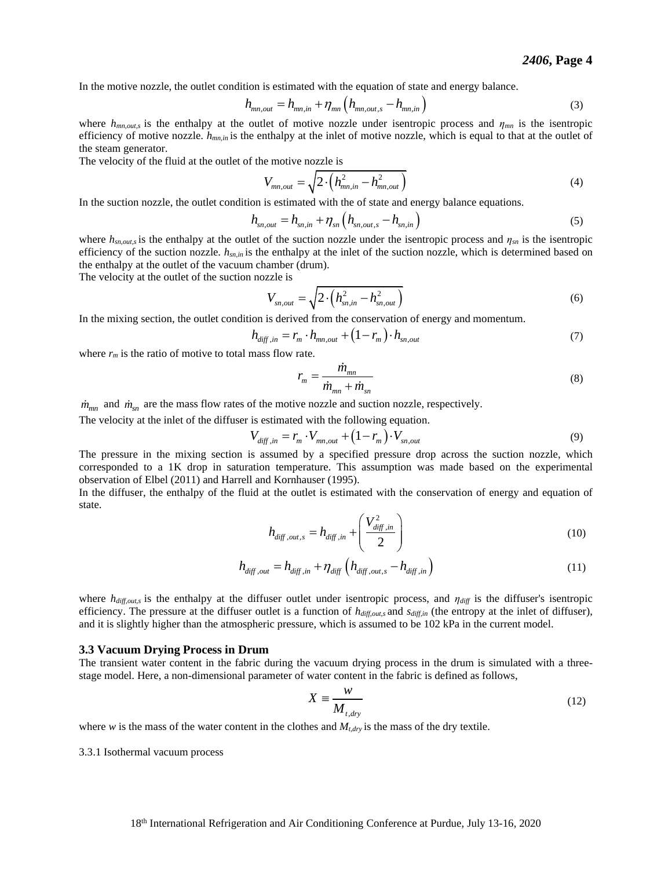In the motive nozzle, the outlet condition is estimated with the equation of state and energy balance.  
\n
$$
h_{mn,out} = h_{mn,in} + \eta_{mn} \left( h_{mn,out,s} - h_{mn,in} \right)
$$
\n(3)

where  $h_{mn,out,s}$  is the enthalpy at the outlet of motive nozzle under isentropic process and  $\eta_{mn}$  is the isentropic efficiency of motive nozzle.  $h_{mn,in}$  is the enthalpy at the inlet of motive nozzle, which is equal to that at the outlet of the steam generator.

The velocity of the fluid at the outlet of the motive nozzle is

$$
V_{mn,out} = \sqrt{2 \cdot \left(h_{mn,in}^2 - h_{mn,out}^2\right)}
$$
 (4)

In the suction nozzle, the outlet condition is estimated with the of state and energy balance equations.<br>  $h_{sn,out} = h_{sn,in} + \eta_{sn} (h_{sn,out,s} - h_{sn,in})$ 

$$
h_{sn,out} = h_{sn,in} + \eta_{sn} \left( h_{sn,out,s} - h_{sn,in} \right)
$$
 (5)

where  $h_{sn,out,s}$  is the enthalpy at the outlet of the suction nozzle under the isentropic process and  $\eta_{sn}$  is the isentropic efficiency of the suction nozzle.  $h_{sn,m}$  is the enthalpy at the inlet of the suction nozzle, which is determined based on the enthalpy at the outlet of the vacuum chamber (drum).

The velocity at the outlet of the suction nozzle is

$$
V_{sn,out} = \sqrt{2 \cdot \left(h_{sn,in}^2 - h_{sn,out}^2\right)}
$$
 (6)

In the mixing section, the outlet condition is derived from the conservation of energy and momentum.<br>  $h_{diff,in} = r_m \cdot h_{mn,out} + (1 - r_m) \cdot h_{sn,out}$ 

$$
h_{\text{diff},in} = r_m \cdot h_{mn,out} + (1 - r_m) \cdot h_{sn,out} \tag{7}
$$

where  $r_m$  is the ratio of motive to total mass flow rate.

$$
r_m = \frac{\dot{m}_{mn}}{\dot{m}_{mn} + \dot{m}_{sn}}\tag{8}
$$

 $\dot{m}_{mn}$  and  $\dot{m}_{sn}$  are the mass flow rates of the motive nozzle and suction nozzle, respectively.

The velocity at the inlet of the diffuser is estimated with the following equation.<br>  $V_{diff,in} = r_m \cdot V_{mn,out} + (1 - r_m) \cdot V_{sn,out}$ 

$$
V_{diff,in} = r_m \cdot V_{mn,out} + (1 - r_m) \cdot V_{sn,out}
$$
\n(9)

 The pressure in the mixing section is assumed by a specified pressure drop across the suction nozzle, which corresponded to a 1K drop in saturation temperature. This assumption was made based on the experimental observation of Elbel (2011) and Harrell and Kornhauser (1995).

In the diffuser, the enthalpy of the fluid at the outlet is estimated with the conservation of energy and equation of state.

$$
h_{\text{diff},\text{out},s} = h_{\text{diff},\text{in}} + \left(\frac{V_{\text{diff},\text{in}}^2}{2}\right)
$$
\n
$$
h_{\text{diff},\text{out}} = h_{\text{diff},\text{in}} + \eta_{\text{diff}} \left(h_{\text{diff},\text{out},s} - h_{\text{diff},\text{in}}\right)
$$
\n
$$
(11)
$$

$$
h_{\text{diff},\text{out}} = h_{\text{diff},\text{in}} + \eta_{\text{diff}} \left( h_{\text{diff},\text{out},s} - h_{\text{diff},\text{in}} \right) \tag{11}
$$

 where *hdiff,out,s* is the enthalpy at the diffuser outlet under isentropic process, and *ηdiff* is the diffuser's isentropic efficiency. The pressure at the diffuser outlet is a function of  $h_{diff,out,s}$  and  $s_{diff,in}$  (the entropy at the inlet of diffuser), and it is slightly higher than the atmospheric pressure, which is assumed to be 102 kPa in the current model.

#### **3.3 Vacuum Drying Process in Drum**

 The transient water content in the fabric during the vacuum drying process in the drum is simulated with a three-stage model. Here, a non-dimensional parameter of water content in the fabric is defined as follows,

$$
X \equiv \frac{W}{M_{t, dry}}
$$
 (12)

where  $w$  is the mass of the water content in the clothes and  $M_{t, dry}$  is the mass of the dry textile.

3.3.1 Isothermal vacuum process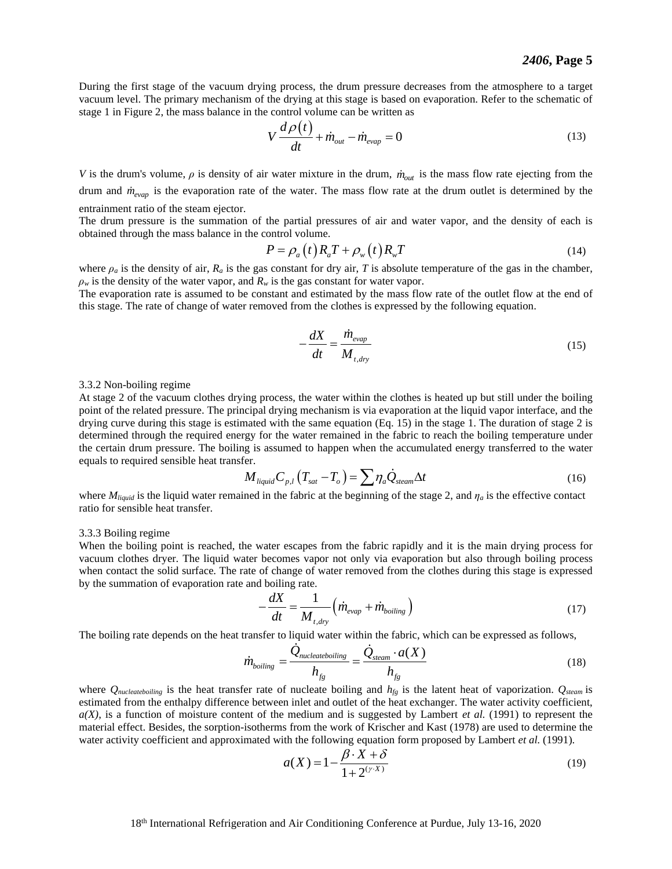vacuum level. The primary mechanism of the drying at this stage is based on evaporation. Refer to the schematic of stage 1 in Figure 2, the mass balance in the control volume can be written as  $V \frac{d\rho(t)}{dt} + \dot{m}_{out} - \dot{m}_{evap} = 0$ During the first stage of the vacuum drying process, the drum pressure decreases from the atmosphere to a target

$$
V\frac{d\rho(t)}{dt} + \dot{m}_{out} - \dot{m}_{evap} = 0
$$
\n(13)

*V* is the drum's volume,  $\rho$  is density of air water mixture in the drum,  $\dot{m}_{out}$  is the mass flow rate ejecting from the drum and *mevap* is the evaporation rate of the water. The mass flow rate at the drum outlet is determined by the entrainment ratio of the steam ejector.

 The drum pressure is the summation of the partial pressures of air and water vapor, and the density of each is obtained through the mass balance in the control volume.<br>  $P = \rho_a(t) R_a T + \rho_w(t) R_w T$ 

$$
P = \rho_a(t)R_aT + \rho_w(t)R_wT
$$
\n(14)

 $\rho_w$  is the density of the water vapor, and  $R_w$  is the gas constant for water vapor. where  $\rho_a$  is the density of air,  $R_a$  is the gas constant for dry air, *T* is absolute temperature of the gas in the chamber,

 The evaporation rate is assumed to be constant and estimated by the mass flow rate of the outlet flow at the end of this stage. The rate of change of water removed from the clothes is expressed by the following equation.

$$
-\frac{dX}{dt} = \frac{\dot{m}_{evap}}{M_{t, dry}}
$$
(15)

#### 3.3.2 Non-boiling regime

 At stage 2 of the vacuum clothes drying process, the water within the clothes is heated up but still under the boiling point of the related pressure. The principal drying mechanism is via evaporation at the liquid vapor interface, and the drying curve during this stage is estimated with the same equation (Eq. 15) in the stage 1. The duration of stage 2 is determined through the required energy for the water remained in the fabric to reach the boiling temperature under the certain drum pressure. The boiling is assumed to happen when the accumulated energy transferred to the water equals to required sensible heat transfer.<br>  $M_{liquid}C_{p,l}(T_{sat}-T_o) = \sum \eta_a \dot{Q}_{stream}\Delta t$  (16) equals to required sensible heat transfer.

$$
M_{liquid}C_{p,l}(T_{sat}-T_o) = \sum \eta_a \dot{Q}_{seam}\Delta t
$$
\n(16)

where  $M_{liquid}$  is the liquid water remained in the fabric at the beginning of the stage 2, and  $\eta_a$  is the effective contact ratio for sensible heat transfer.

#### 3.3.3 Boiling regime

 When the boiling point is reached, the water escapes from the fabric rapidly and it is the main drying process for vacuum clothes dryer. The liquid water becomes vapor not only via evaporation but also through boiling process when contact the solid surface. The rate of change of water removed from the clothes during this stage is expressed by the summation of evaporation rate and boiling rate.

$$
-\frac{dX}{dt} = \frac{1}{M_{t, dry}} \left( \dot{m}_{evap} + \dot{m}_{boiling} \right)
$$
 (17)

The boiling rate depends on the heat transfer to liquid water within the fabric, which can be expressed as follows,  
\n
$$
m_{boiling} = \frac{\dot{Q}_{nucleateboiling}}{h_{fg}} = \frac{\dot{Q}_{steam} \cdot a(X)}{h_{fg}}
$$
\n(18)

 where *Qnucleateboiling* is the heat transfer rate of nucleate boiling and *hfg* is the latent heat of vaporization. *Qsteam* is estimated from the enthalpy difference between inlet and outlet of the heat exchanger. The water activity coefficient, *a(X)*, is a function of moisture content of the medium and is suggested by Lambert *et al.* (1991) to represent the material effect. Besides, the sorption-isotherms from the work of Krischer and Kast (1978) are used to determine the water activity coefficient and approximated with the following equation form proposed by Lambert *et al.* (1991).

$$
a(X) = 1 - \frac{\beta \cdot X + \delta}{1 + 2^{(\gamma \cdot X)}}
$$
(19)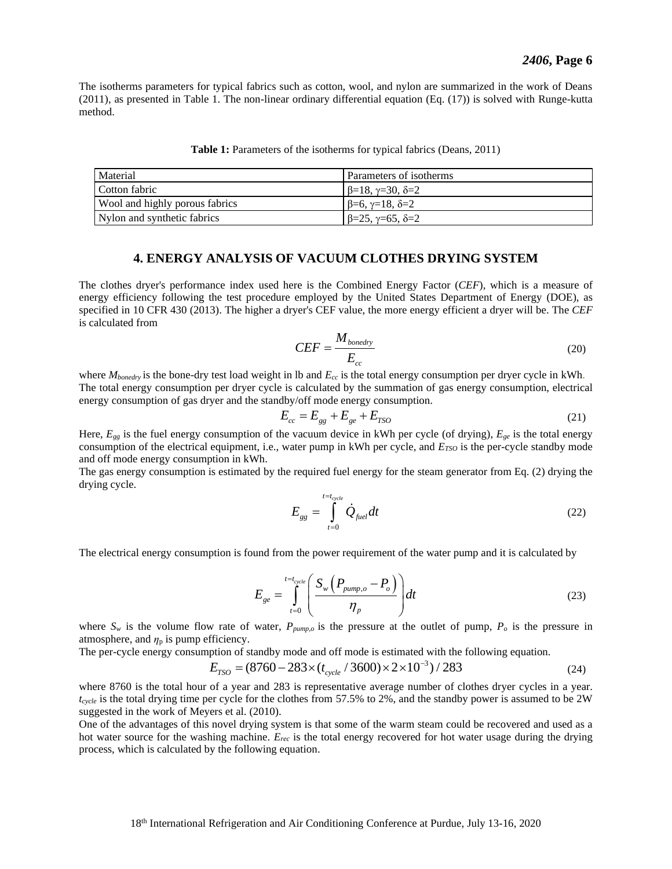The isotherms parameters for typical fabrics such as cotton, wool, and nylon are summarized in the work of Deans (2011), as presented in Table 1. The non-linear ordinary differential equation (Eq. (17)) is solved with Runge-kutta method.

| <b>Table 1:</b> Parameters of the isotherms for typical fabrics (Deans, 2011) |  |  |  |  |  |  |
|-------------------------------------------------------------------------------|--|--|--|--|--|--|
|-------------------------------------------------------------------------------|--|--|--|--|--|--|

| Material                       | Parameters of isotherms               |
|--------------------------------|---------------------------------------|
| Cotton fabric                  | $\beta = 18, \gamma = 30, \delta = 2$ |
| Wool and highly porous fabrics | $\beta = 6, \gamma = 18, \delta = 2$  |
| Nylon and synthetic fabrics    | $\beta = 25, \gamma = 65, \delta = 2$ |

#### **4. ENERGY ANALYSIS OF VACUUM CLOTHES DRYING SYSTEM**

 energy efficiency following the test procedure employed by the United States Department of Energy (DOE), as specified in 10 CFR 430 (2013). The higher a dryer's CEF value, the more energy efficient a dryer will be. The *CEF*  is calculated from The clothes dryer's performance index used here is the Combined Energy Factor (*CEF*), which is a measure of

$$
CEF = \frac{M_{boundary}}{E_{cc}}
$$
 (20)

 where *Mbonedry* is the bone-dry test load weight in lb and *Ecc* is the total energy consumption per dryer cycle in kWh. The total energy consumption per dryer cycle is calculated by the summation of gas energy consumption, electrical energy consumption of gas dryer and the standby/off mode energy consumption.

$$
E_{cc} = E_{gg} + E_{ge} + E_{TSO}
$$
 (21)

 Here, *Egg* is the fuel energy consumption of the vacuum device in kWh per cycle (of drying), *Ege* is the total energy consumption of the electrical equipment, i.e., water pump in kWh per cycle, and  $E_{TSO}$  is the per-cycle standby mode and off mode energy consumption in kWh.

 The gas energy consumption is estimated by the required fuel energy for the steam generator from Eq. (2) drying the drying cycle.

$$
E_{gg} = \int_{t=0}^{t=t_{cycle}} \dot{Q}_{fuel} dt
$$
 (22)

The electrical energy consumption is found from the power requirement of the water pump and it is calculated by

$$
E_{ge} = \int_{t=0}^{t=t_{cycle}} \left( \frac{S_w \left( P_{pump,o} - P_o \right)}{\eta_p} \right) dt
$$
 (23)

where  $S_w$  is the volume flow rate of water,  $P_{pump,o}$  is the pressure at the outlet of pump,  $P_o$  is the pressure in atmosphere, and  $\eta_p$  is pump efficiency.

The per-cycle energy consumption of standby mode and off mode is estimated with the following equation.

friciency.  
option of standing mode and off mode is estimated with the following equation.  

$$
E_{TSO} = (8760 - 283 \times (t_{cycle} / 3600) \times 2 \times 10^{-3}) / 283
$$
 (24)

 where 8760 is the total hour of a year and 283 is representative average number of clothes dryer cycles in a year. *tcycle* is the total drying time per cycle for the clothes from 57.5% to 2%, and the standby power is assumed to be 2W suggested in the work of Meyers et al. (2010).

 One of the advantages of this novel drying system is that some of the warm steam could be recovered and used as a hot water source for the washing machine. *Erec* is the total energy recovered for hot water usage during the drying process, which is calculated by the following equation.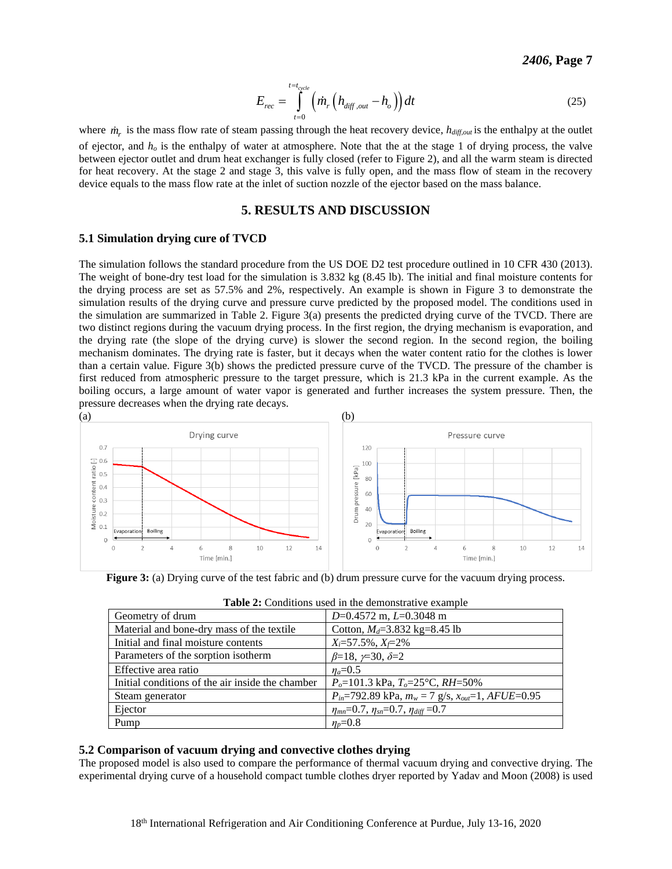$$
E_{rec} = \int_{t=0}^{t=t_{cycle}} \left( \dot{m}_r \left( h_{diff,out} - h_o \right) \right) dt
$$
 (25)

where  $m_r$  is the mass flow rate of steam passing through the heat recovery device,  $h_{\text{diff,out}}$  is the enthalpy at the outlet of ejector, and  $h<sub>o</sub>$  is the enthalpy of water at atmosphere. Note that the at the stage 1 of drying process, the valve between ejector outlet and drum heat exchanger is fully closed (refer to Figure 2), and all the warm steam is directed for heat recovery. At the stage 2 and stage 3, this valve is fully open, and the mass flow of steam in the recovery device equals to the mass flow rate at the inlet of suction nozzle of the ejector based on the mass balance.

## **5. RESULTS AND DISCUSSION**

## **5.1 Simulation drying cure of TVCD**

 The simulation follows the standard procedure from the US DOE D2 test procedure outlined in 10 CFR 430 (2013). The weight of bone-dry test load for the simulation is 3.832 kg (8.45 lb). The initial and final moisture contents for the drying process are set as 57.5% and 2%, respectively. An example is shown in Figure 3 to demonstrate the simulation results of the drying curve and pressure curve predicted by the proposed model. The conditions used in the simulation are summarized in Table 2. Figure 3(a) presents the predicted drying curve of the TVCD. There are two distinct regions during the vacuum drying process. In the first region, the drying mechanism is evaporation, and the drying rate (the slope of the drying curve) is slower the second region. In the second region, the boiling mechanism dominates. The drying rate is faster, but it decays when the water content ratio for the clothes is lower first reduced from atmospheric pressure to the target pressure, which is 21.3 kPa in the current example. As the boiling occurs, a large amount of water vapor is generated and further increases the system pressure. Then, the pressure decreases when the drying rate decays. than a certain value. Figure 3(b) shows the predicted pressure curve of the TVCD. The pressure of the chamber is



**Figure 3:** (a) Drying curve of the test fabric and (b) drum pressure curve for the vacuum drying process.

| Geometry of drum                                 | $D=0.4572$ m, $L=0.3048$ m                                   |
|--------------------------------------------------|--------------------------------------------------------------|
| Material and bone-dry mass of the textile        | Cotton, $M_d = 3.832$ kg=8.45 lb                             |
| Initial and final moisture contents              | $X_i = 57.5\%$ , $X_i = 2\%$                                 |
| Parameters of the sorption isotherm              | $\beta=18, \gamma=30, \delta=2$                              |
| Effective area ratio                             | $n_a = 0.5$                                                  |
| Initial conditions of the air inside the chamber | $P_o=101.3$ kPa, $T_o=25$ °C, RH=50%                         |
| Steam generator                                  | $P_{in}$ =792.89 kPa, $m_w$ = 7 g/s, $x_{out}$ =1, AFUE=0.95 |
| Ejector                                          | $\eta_{mn} = 0.7$ , $\eta_{sn} = 0.7$ , $\eta_{diff} = 0.7$  |
| Pump                                             | $n_{\rm n} = 0.8$                                            |

| Table 2: Conditions used in the demonstrative example |
|-------------------------------------------------------|
|-------------------------------------------------------|

## **5.2 Comparison of vacuum drying and convective clothes drying**

 The proposed model is also used to compare the performance of thermal vacuum drying and convective drying. The experimental drying curve of a household compact tumble clothes dryer reported by Yadav and Moon (2008) is used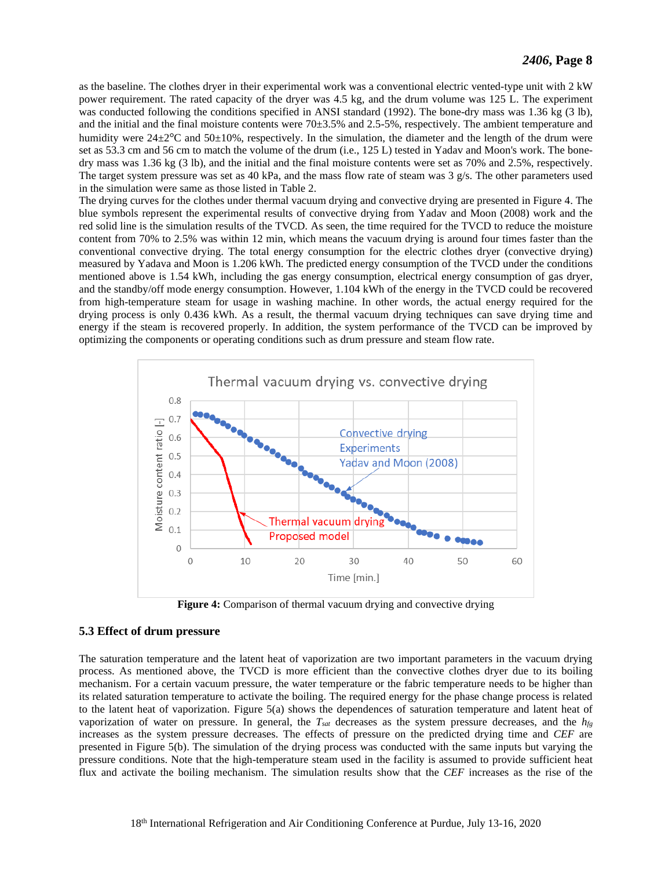as the baseline. The clothes dryer in their experimental work was a conventional electric vented-type unit with 2 kW power requirement. The rated capacity of the dryer was 4.5 kg, and the drum volume was 125 L. The experiment was conducted following the conditions specified in ANSI standard (1992). The bone-dry mass was 1.36 kg (3 lb), humidity were  $24\pm2$ °C and  $50\pm10$ %, respectively. In the simulation, the diameter and the length of the drum were set as 53.3 cm and 56 cm to match the volume of the drum (i.e., 125 L) tested in Yadav and Moon's work. The bone- dry mass was 1.36 kg (3 lb), and the initial and the final moisture contents were set as 70% and 2.5%, respectively. The target system pressure was set as 40 kPa, and the mass flow rate of steam was 3 g/s. The other parameters used in the simulation were same as those listed in Table 2. and the initial and the final moisture contents were 70±3.5% and 2.5-5%, respectively. The ambient temperature and

 The drying curves for the clothes under thermal vacuum drying and convective drying are presented in Figure 4. The blue symbols represent the experimental results of convective drying from Yadav and Moon (2008) work and the red solid line is the simulation results of the TVCD. As seen, the time required for the TVCD to reduce the moisture content from 70% to 2.5% was within 12 min, which means the vacuum drying is around four times faster than the conventional convective drying. The total energy consumption for the electric clothes dryer (convective drying) measured by Yadava and Moon is 1.206 kWh. The predicted energy consumption of the TVCD under the conditions mentioned above is 1.54 kWh, including the gas energy consumption, electrical energy consumption of gas dryer, from high-temperature steam for usage in washing machine. In other words, the actual energy required for the drying process is only 0.436 kWh. As a result, the thermal vacuum drying techniques can save drying time and energy if the steam is recovered properly. In addition, the system performance of the TVCD can be improved by optimizing the components or operating conditions such as drum pressure and steam flow rate. and the standby/off mode energy consumption. However, 1.104 kWh of the energy in the TVCD could be recovered



**Figure 4:** Comparison of thermal vacuum drying and convective drying

## **5.3 Effect of drum pressure**

 The saturation temperature and the latent heat of vaporization are two important parameters in the vacuum drying mechanism. For a certain vacuum pressure, the water temperature or the fabric temperature needs to be higher than its related saturation temperature to activate the boiling. The required energy for the phase change process is related vaporization of water on pressure. In general, the *Tsat* decreases as the system pressure decreases, and the *hfg*  increases as the system pressure decreases. The effects of pressure on the predicted drying time and *CEF* are presented in Figure 5(b). The simulation of the drying process was conducted with the same inputs but varying the pressure conditions. Note that the high-temperature steam used in the facility is assumed to provide sufficient heat flux and activate the boiling mechanism. The simulation results show that the *CEF* increases as the rise of the process. As mentioned above, the TVCD is more efficient than the convective clothes dryer due to its boiling to the latent heat of vaporization. Figure 5(a) shows the dependences of saturation temperature and latent heat of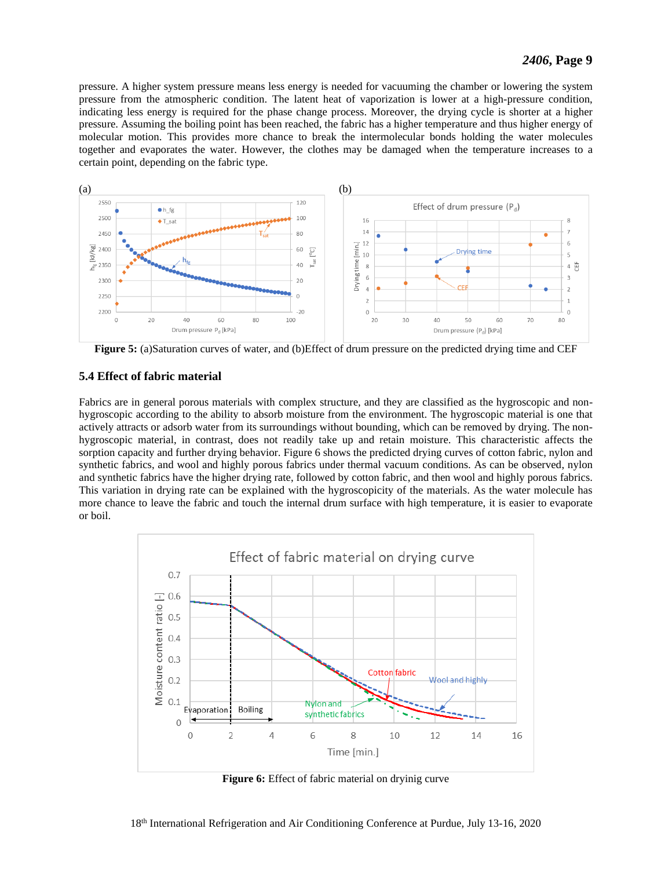pressure. A higher system pressure means less energy is needed for vacuuming the chamber or lowering the system pressure from the atmospheric condition. The latent heat of vaporization is lower at a high-pressure condition, indicating less energy is required for the phase change process. Moreover, the drying cycle is shorter at a higher pressure. Assuming the boiling point has been reached, the fabric has a higher temperature and thus higher energy of molecular motion. This provides more chance to break the intermolecular bonds holding the water molecules together and evaporates the water. However, the clothes may be damaged when the temperature increases to a certain point, depending on the fabric type.



**Figure 5:** (a)Saturation curves of water, and (b)Effect of drum pressure on the predicted drying time and CEF

## **5.4 Effect of fabric material**

 Fabrics are in general porous materials with complex structure, and they are classified as the hygroscopic and non- hygroscopic according to the ability to absorb moisture from the environment. The hygroscopic material is one that actively attracts or adsorb water from its surroundings without bounding, which can be removed by drying. The non- hygroscopic material, in contrast, does not readily take up and retain moisture. This characteristic affects the sorption capacity and further drying behavior. Figure 6 shows the predicted drying curves of cotton fabric, nylon and synthetic fabrics, and wool and highly porous fabrics under thermal vacuum conditions. As can be observed, nylon and synthetic fabrics have the higher drying rate, followed by cotton fabric, and then wool and highly porous fabrics. This variation in drying rate can be explained with the hygroscopicity of the materials. As the water molecule has more chance to leave the fabric and touch the internal drum surface with high temperature, it is easier to evaporate or boil.



**Figure 6:** Effect of fabric material on dryinig curve